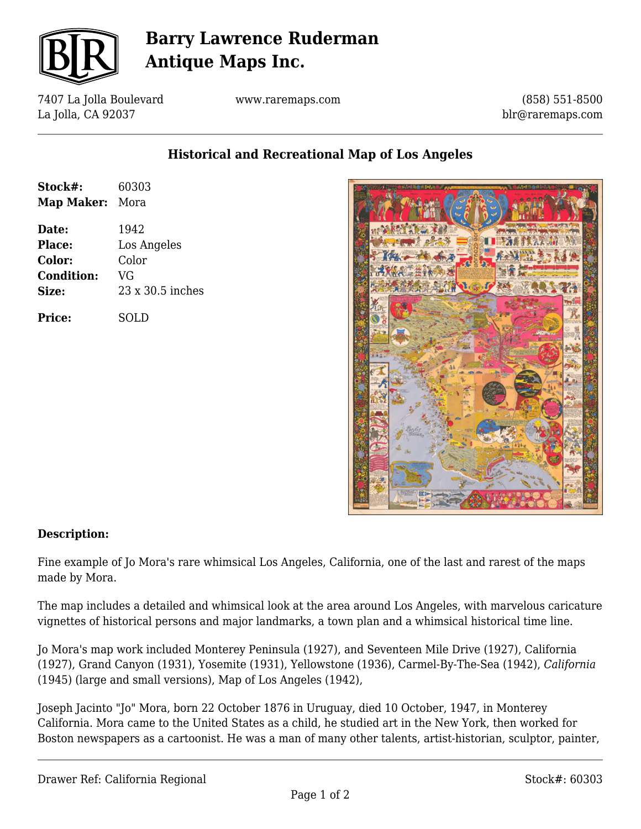

# **Barry Lawrence Ruderman Antique Maps Inc.**

7407 La Jolla Boulevard La Jolla, CA 92037

www.raremaps.com

(858) 551-8500 blr@raremaps.com

## **Historical and Recreational Map of Los Angeles**

| Stock#:<br><b>Map Maker:</b> | 60303<br>Mora           |
|------------------------------|-------------------------|
|                              |                         |
| Date:                        | 1942                    |
| Place:                       | Los Angeles             |
| Color:                       | Color                   |
| <b>Condition:</b>            | VG                      |
| Size:                        | $23 \times 30.5$ inches |
| Price:                       | SOLD                    |



### **Description:**

Fine example of Jo Mora's rare whimsical Los Angeles, California, one of the last and rarest of the maps made by Mora.

The map includes a detailed and whimsical look at the area around Los Angeles, with marvelous caricature vignettes of historical persons and major landmarks, a town plan and a whimsical historical time line.

Jo Mora's map work included Monterey Peninsula (1927), and Seventeen Mile Drive (1927), California (1927), Grand Canyon (1931), Yosemite (1931), Yellowstone (1936), Carmel-By-The-Sea (1942), *California* (1945) (large and small versions), Map of Los Angeles (1942),

Joseph Jacinto "Jo" Mora, born 22 October 1876 in Uruguay, died 10 October, 1947, in Monterey California. Mora came to the United States as a child, he studied art in the New York, then worked for Boston newspapers as a cartoonist. He was a man of many other talents, artist-historian, sculptor, painter,